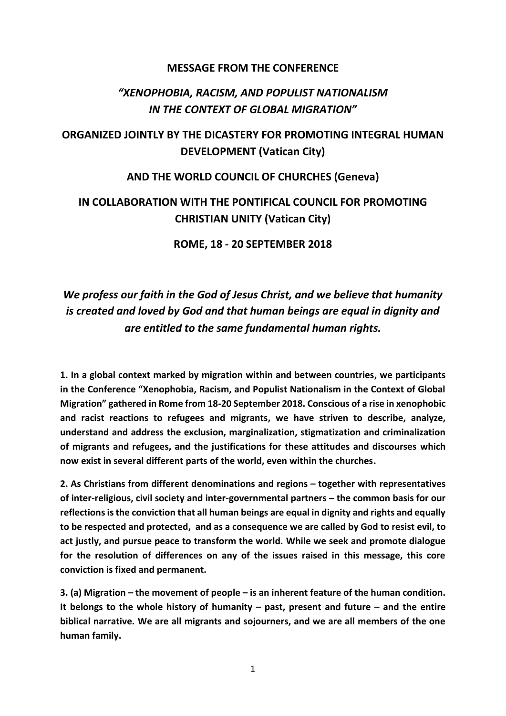#### **MESSAGE FROM THE CONFERENCE**

## *"XENOPHOBIA, RACISM, AND POPULIST NATIONALISM IN THE CONTEXT OF GLOBAL MIGRATION"*

### **ORGANIZED JOINTLY BY THE DICASTERY FOR PROMOTING INTEGRAL HUMAN DEVELOPMENT (Vatican City)**

#### **AND THE WORLD COUNCIL OF CHURCHES (Geneva)**

## **IN COLLABORATION WITH THE PONTIFICAL COUNCIL FOR PROMOTING CHRISTIAN UNITY (Vatican City)**

**ROME, 18 - 20 SEPTEMBER 2018**

# *We profess our faith in the God of Jesus Christ, and we believe that humanity is created and loved by God and that human beings are equal in dignity and are entitled to the same fundamental human rights.*

**1. In a global context marked by migration within and between countries, we participants in the Conference "Xenophobia, Racism, and Populist Nationalism in the Context of Global Migration" gathered in Rome from 18-20 September 2018. Conscious of a rise in xenophobic and racist reactions to refugees and migrants, we have striven to describe, analyze, understand and address the exclusion, marginalization, stigmatization and criminalization of migrants and refugees, and the justifications for these attitudes and discourses which now exist in several different parts of the world, even within the churches.** 

**2. As Christians from different denominations and regions – together with representatives of inter-religious, civil society and inter-governmental partners – the common basis for our reflections isthe conviction that all human beings are equal in dignity and rights and equally to be respected and protected, and as a consequence we are called by God to resist evil, to act justly, and pursue peace to transform the world. While we seek and promote dialogue for the resolution of differences on any of the issues raised in this message, this core conviction is fixed and permanent.** 

**3. (a) Migration – the movement of people – is an inherent feature of the human condition. It belongs to the whole history of humanity – past, present and future – and the entire biblical narrative. We are all migrants and sojourners, and we are all members of the one human family.**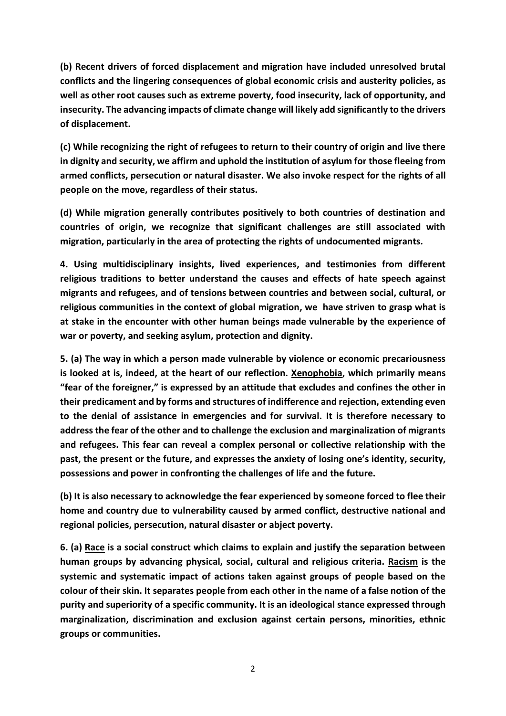**(b) Recent drivers of forced displacement and migration have included unresolved brutal conflicts and the lingering consequences of global economic crisis and austerity policies, as well as other root causes such as extreme poverty, food insecurity, lack of opportunity, and insecurity. The advancing impacts of climate change will likely add significantly to the drivers of displacement.**

**(c) While recognizing the right of refugees to return to their country of origin and live there in dignity and security, we affirm and uphold the institution of asylum for those fleeing from armed conflicts, persecution or natural disaster. We also invoke respect for the rights of all people on the move, regardless of their status.**

**(d) While migration generally contributes positively to both countries of destination and countries of origin, we recognize that significant challenges are still associated with migration, particularly in the area of protecting the rights of undocumented migrants.**

**4. Using multidisciplinary insights, lived experiences, and testimonies from different religious traditions to better understand the causes and effects of hate speech against migrants and refugees, and of tensions between countries and between social, cultural, or religious communities in the context of global migration, we have striven to grasp what is at stake in the encounter with other human beings made vulnerable by the experience of war or poverty, and seeking asylum, protection and dignity.**

**5. (a) The way in which a person made vulnerable by violence or economic precariousness is looked at is, indeed, at the heart of our reflection. Xenophobia, which primarily means "fear of the foreigner," is expressed by an attitude that excludes and confines the other in their predicament and by forms and structures of indifference and rejection, extending even to the denial of assistance in emergencies and for survival. It is therefore necessary to address the fear of the other and to challenge the exclusion and marginalization of migrants and refugees. This fear can reveal a complex personal or collective relationship with the past, the present or the future, and expresses the anxiety of losing one's identity, security, possessions and power in confronting the challenges of life and the future.**

**(b) It is also necessary to acknowledge the fear experienced by someone forced to flee their home and country due to vulnerability caused by armed conflict, destructive national and regional policies, persecution, natural disaster or abject poverty.**

**6. (a) Race is a social construct which claims to explain and justify the separation between human groups by advancing physical, social, cultural and religious criteria. Racism is the systemic and systematic impact of actions taken against groups of people based on the colour of their skin. It separates people from each other in the name of a false notion of the purity and superiority of a specific community. It is an ideological stance expressed through marginalization, discrimination and exclusion against certain persons, minorities, ethnic groups or communities.**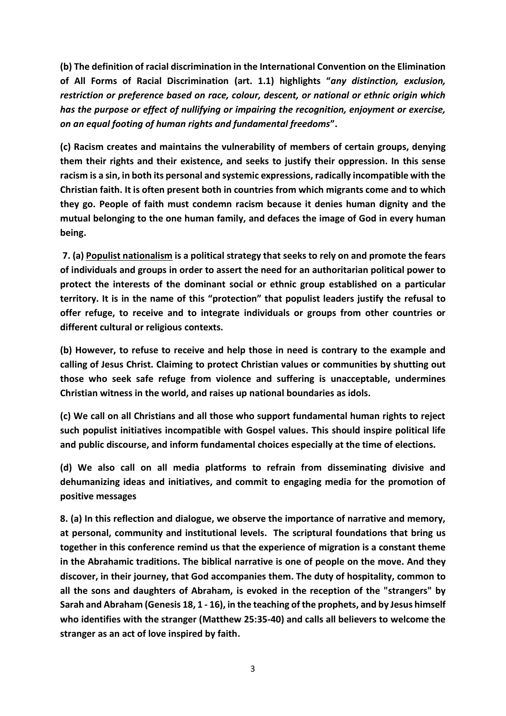**(b) The definition of racial discrimination in the International Convention on the Elimination of All Forms of Racial Discrimination (art. 1.1) highlights "***any distinction, exclusion, restriction or preference based on race, colour, descent, or national or ethnic origin which has the purpose or effect of nullifying or impairing the recognition, enjoyment or exercise, on an equal footing of human rights and fundamental freedoms***".** 

**(c) Racism creates and maintains the vulnerability of members of certain groups, denying them their rights and their existence, and seeks to justify their oppression. In this sense racism is a sin, in both its personal and systemic expressions, radically incompatible with the Christian faith. It is often present both in countries from which migrants come and to which they go. People of faith must condemn racism because it denies human dignity and the mutual belonging to the one human family, and defaces the image of God in every human being.**

**7. (a) Populist nationalism is a political strategy that seeks to rely on and promote the fears of individuals and groups in order to assert the need for an authoritarian political power to protect the interests of the dominant social or ethnic group established on a particular territory. It is in the name of this "protection" that populist leaders justify the refusal to offer refuge, to receive and to integrate individuals or groups from other countries or different cultural or religious contexts.**

**(b) However, to refuse to receive and help those in need is contrary to the example and calling of Jesus Christ. Claiming to protect Christian values or communities by shutting out those who seek safe refuge from violence and suffering is unacceptable, undermines Christian witness in the world, and raises up national boundaries as idols.**

**(c) We call on all Christians and all those who support fundamental human rights to reject such populist initiatives incompatible with Gospel values. This should inspire political life and public discourse, and inform fundamental choices especially at the time of elections.**

**(d) We also call on all media platforms to refrain from disseminating divisive and dehumanizing ideas and initiatives, and commit to engaging media for the promotion of positive messages**

**8. (a) In this reflection and dialogue, we observe the importance of narrative and memory, at personal, community and institutional levels. The scriptural foundations that bring us together in this conference remind us that the experience of migration is a constant theme in the Abrahamic traditions. The biblical narrative is one of people on the move. And they discover, in their journey, that God accompanies them. The duty of hospitality, common to all the sons and daughters of Abraham, is evoked in the reception of the "strangers" by Sarah and Abraham (Genesis 18, 1 - 16), in the teaching of the prophets, and by Jesus himself who identifies with the stranger (Matthew 25:35-40) and calls all believers to welcome the stranger as an act of love inspired by faith.**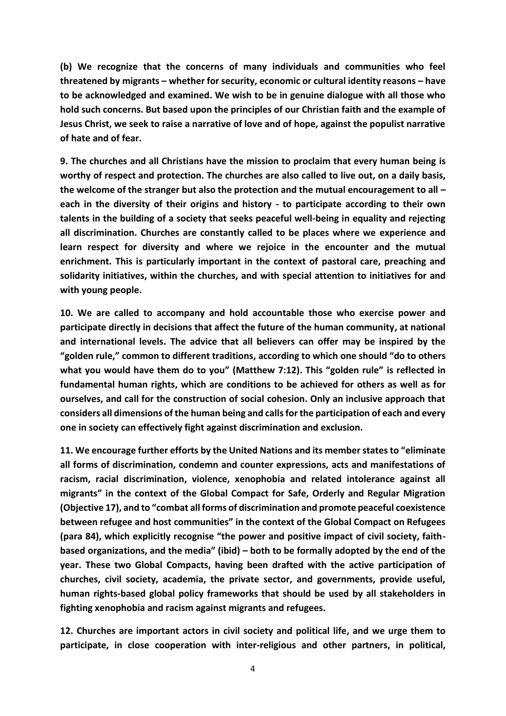**(b) We recognize that the concerns of many individuals and communities who feel threatened by migrants – whether for security, economic or cultural identity reasons – have to be acknowledged and examined. We wish to be in genuine dialogue with all those who hold such concerns. But based upon the principles of our Christian faith and the example of Jesus Christ, we seek to raise a narrative of love and of hope, against the populist narrative of hate and of fear.**

**9. The churches and all Christians have the mission to proclaim that every human being is worthy of respect and protection. The churches are also called to live out, on a daily basis, the welcome of the stranger but also the protection and the mutual encouragement to all – each in the diversity of their origins and history - to participate according to their own talents in the building of a society that seeks peaceful well-being in equality and rejecting all discrimination. Churches are constantly called to be places where we experience and learn respect for diversity and where we rejoice in the encounter and the mutual enrichment. This is particularly important in the context of pastoral care, preaching and solidarity initiatives, within the churches, and with special attention to initiatives for and with young people.**

**10. We are called to accompany and hold accountable those who exercise power and participate directly in decisions that affect the future of the human community, at national and international levels. The advice that all believers can offer may be inspired by the "golden rule," common to different traditions, according to which one should "do to others what you would have them do to you" (Matthew 7:12). This "golden rule" is reflected in fundamental human rights, which are conditions to be achieved for others as well as for ourselves, and call for the construction of social cohesion. Only an inclusive approach that considers all dimensions of the human being and calls for the participation of each and every one in society can effectively fight against discrimination and exclusion.**

**11. We encourage further efforts by the United Nations and its member states to "eliminate all forms of discrimination, condemn and counter expressions, acts and manifestations of racism, racial discrimination, violence, xenophobia and related intolerance against all migrants" in the context of the Global Compact for Safe, Orderly and Regular Migration (Objective 17), and to "combat all forms of discrimination and promote peaceful coexistence between refugee and host communities" in the context of the Global Compact on Refugees (para 84), which explicitly recognise "the power and positive impact of civil society, faithbased organizations, and the media" (ibid) – both to be formally adopted by the end of the year. These two Global Compacts, having been drafted with the active participation of churches, civil society, academia, the private sector, and governments, provide useful, human rights-based global policy frameworks that should be used by all stakeholders in fighting xenophobia and racism against migrants and refugees.**

**12. Churches are important actors in civil society and political life, and we urge them to participate, in close cooperation with inter-religious and other partners, in political,**